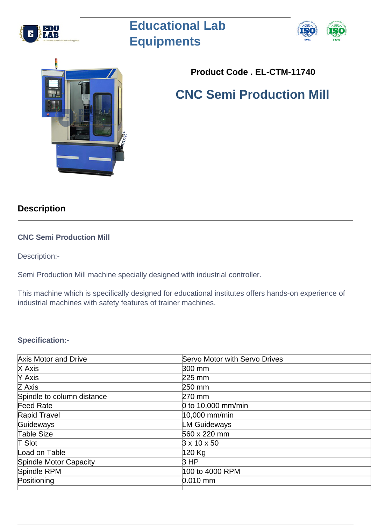

# **Educational Lab Equipments**





## **Product Code . EL-CTM-11740**

## **CNC Semi Production Mill**

### **Description**

#### **CNC Semi Production Mill**

Description:-

Semi Production Mill machine specially designed with industrial controller.

This machine which is specifically designed for educational institutes offers hands-on experience of industrial machines with safety features of trainer machines.

#### **Specification:-**

| <b>Axis Motor and Drive</b> | <b>Servo Motor with Servo Drives</b> |
|-----------------------------|--------------------------------------|
| X Axis                      | 300 mm                               |
| Y Axis                      | 225 mm                               |
| Z Axis                      | 250 mm                               |
| Spindle to column distance  | 270 mm                               |
| Feed Rate                   | 0 to 10,000 mm/min                   |
| Rapid Travel                | 10,000 mm/min                        |
| Guideways                   | <b>LM Guideways</b>                  |
| Table Size                  | 560 x 220 mm                         |
| $\mathsf T$ Slot            | $3 \times 10 \times 50$              |
| Load on Table               | 120 Kg                               |
| Spindle Motor Capacity      | 3HP                                  |
| Spindle RPM                 | 100 to 4000 RPM                      |
| Positioning                 | $0.010$ mm                           |
|                             |                                      |